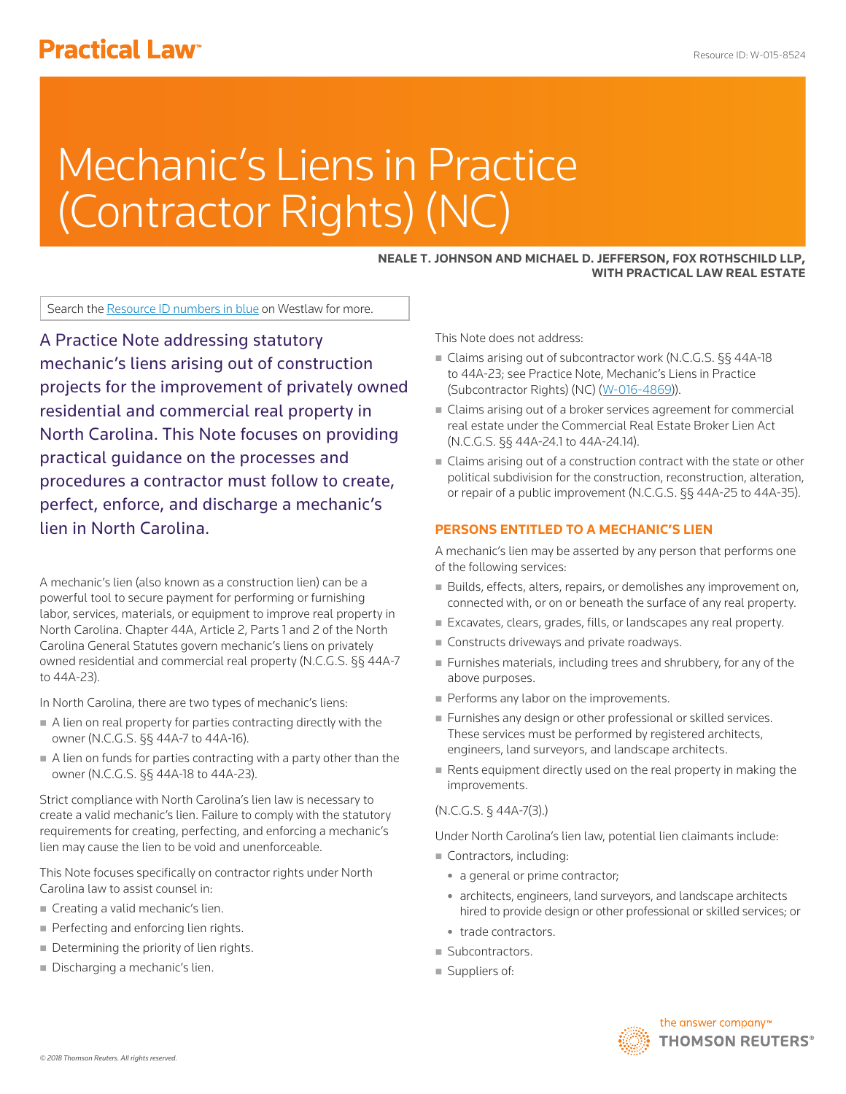# **Practical Law<sup>®</sup>**

# Mechanic's Liens in Practice (Contractor Rights) (NC)

# **NEALE T. JOHNSON AND MICHAEL D. JEFFERSON, FOX ROTHSCHILD LLP, WITH PRACTICAL LAW REAL ESTATE**

Search the Resource ID numbers in blue on Westlaw for more.

A Practice Note addressing statutory mechanic's liens arising out of construction projects for the improvement of privately owned residential and commercial real property in North Carolina. This Note focuses on providing practical guidance on the processes and procedures a contractor must follow to create, perfect, enforce, and discharge a mechanic's lien in North Carolina.

A mechanic's lien (also known as a construction lien) can be a powerful tool to secure payment for performing or furnishing labor, services, materials, or equipment to improve real property in North Carolina. Chapter 44A, Article 2, Parts 1 and 2 of the North Carolina General Statutes govern mechanic's liens on privately owned residential and commercial real property (N.C.G.S. §§ 44A-7 to 44A-23).

In North Carolina, there are two types of mechanic's liens:

- A lien on real property for parties contracting directly with the owner (N.C.G.S. §§ 44A-7 to 44A-16).
- $\blacksquare$  A lien on funds for parties contracting with a party other than the owner (N.C.G.S. §§ 44A-18 to 44A-23).

Strict compliance with North Carolina's lien law is necessary to create a valid mechanic's lien. Failure to comply with the statutory requirements for creating, perfecting, and enforcing a mechanic's lien may cause the lien to be void and unenforceable.

This Note focuses specifically on contractor rights under North Carolina law to assist counsel in:

- Creating a valid mechanic's lien.
- Perfecting and enforcing lien rights.
- Determining the priority of lien rights.
- Discharging a mechanic's lien.

This Note does not address:

- Claims arising out of subcontractor work (N.C.G.S. §§ 44A-18 to 44A-23; see Practice Note, Mechanic's Liens in Practice (Subcontractor Rights) (NC) (W-016-4869)).
- Claims arising out of a broker services agreement for commercial real estate under the Commercial Real Estate Broker Lien Act (N.C.G.S. §§ 44A-24.1 to 44A-24.14).
- Claims arising out of a construction contract with the state or other political subdivision for the construction, reconstruction, alteration, or repair of a public improvement (N.C.G.S. §§ 44A-25 to 44A-35).

#### **PERSONS ENTITLED TO A MECHANIC'S LIEN**

A mechanic's lien may be asserted by any person that performs one of the following services:

- Builds, effects, alters, repairs, or demolishes any improvement on, connected with, or on or beneath the surface of any real property.
- Excavates, clears, grades, fills, or landscapes any real property.
- Constructs driveways and private roadways.
- Furnishes materials, including trees and shrubbery, for any of the above purposes.
- Performs any labor on the improvements.
- **Furnishes any design or other professional or skilled services.** These services must be performed by registered architects, engineers, land surveyors, and landscape architects.
- Rents equipment directly used on the real property in making the improvements.

## (N.C.G.S. § 44A-7(3).)

Under North Carolina's lien law, potential lien claimants include:

- Contractors, including:
	- a general or prime contractor;
	- architects, engineers, land surveyors, and landscape architects hired to provide design or other professional or skilled services; or
- trade contractors
- Subcontractors.
- Suppliers of:

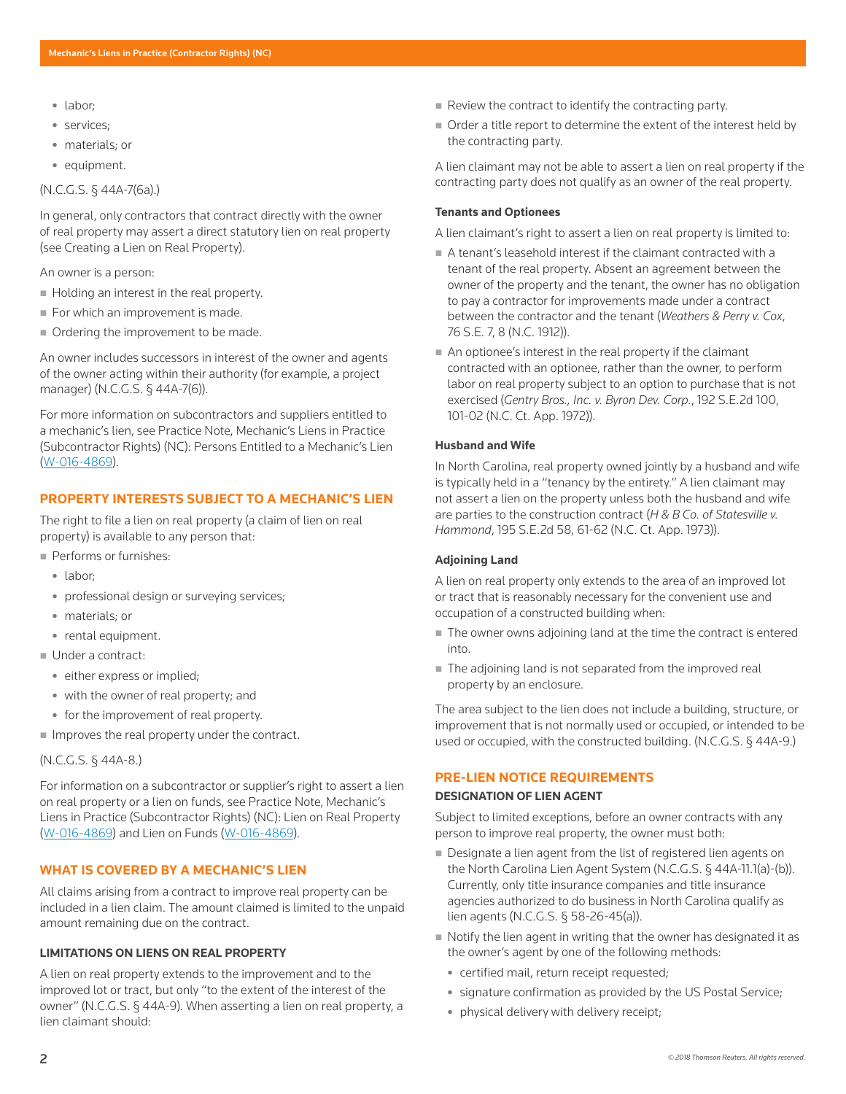- labor;
- services:
- materials; or
- equipment.

# (N.C.G.S. § 44A-7(6a).)

In general, only contractors that contract directly with the owner of real property may assert a direct statutory lien on real property (see Creating a Lien on Real Property).

An owner is a person:

- Holding an interest in the real property.
- For which an improvement is made.
- Ordering the improvement to be made.

An owner includes successors in interest of the owner and agents of the owner acting within their authority (for example, a project manager) (N.C.G.S. § 44A-7(6)).

For more information on subcontractors and suppliers entitled to a mechanic's lien, see Practice Note, Mechanic's Liens in Practice (Subcontractor Rights) (NC): Persons Entitled to a Mechanic's Lien (W-016-4869).

### **PROPERTY INTERESTS SUBJECT TO A MECHANIC'S LIEN**

The right to file a lien on real property (a claim of lien on real property) is available to any person that:

- Performs or furnishes:
	- labor:
	- professional design or surveying services;
	- materials; or
- rental equipment.
- Under a contract:
	- either express or implied;
	- with the owner of real property; and
	- for the improvement of real property.
- **Improves the real property under the contract.**

# (N.C.G.S. § 44A-8.)

For information on a subcontractor or supplier's right to assert a lien on real property or a lien on funds, see Practice Note, Mechanic's Liens in Practice (Subcontractor Rights) (NC): Lien on Real Property (W-016-4869) and Lien on Funds (W-016-4869).

# **WHAT IS COVERED BY A MECHANIC'S LIEN**

All claims arising from a contract to improve real property can be included in a lien claim. The amount claimed is limited to the unpaid amount remaining due on the contract.

### **LIMITATIONS ON LIENS ON REAL PROPERTY**

A lien on real property extends to the improvement and to the improved lot or tract, but only "to the extent of the interest of the owner" (N.C.G.S. § 44A-9). When asserting a lien on real property, a lien claimant should:

- $\blacksquare$  Review the contract to identify the contracting party.
- Order a title report to determine the extent of the interest held by the contracting party.

A lien claimant may not be able to assert a lien on real property if the contracting party does not qualify as an owner of the real property.

#### **Tenants and Optionees**

A lien claimant's right to assert a lien on real property is limited to:

- A tenant's leasehold interest if the claimant contracted with a tenant of the real property. Absent an agreement between the owner of the property and the tenant, the owner has no obligation to pay a contractor for improvements made under a contract between the contractor and the tenant (*Weathers & Perry v. Cox*, 76 S.E. 7, 8 (N.C. 1912)).
- An optionee's interest in the real property if the claimant contracted with an optionee, rather than the owner, to perform labor on real property subject to an option to purchase that is not exercised (*Gentry Bros., Inc. v. Byron Dev. Corp.*, 192 S.E.2d 100, 101-02 (N.C. Ct. App. 1972)).

#### **Husband and Wife**

In North Carolina, real property owned jointly by a husband and wife is typically held in a "tenancy by the entirety." A lien claimant may not assert a lien on the property unless both the husband and wife are parties to the construction contract (*H & B Co. of Statesville v. Hammond*, 195 S.E.2d 58, 61-62 (N.C. Ct. App. 1973)).

#### **Adjoining Land**

A lien on real property only extends to the area of an improved lot or tract that is reasonably necessary for the convenient use and occupation of a constructed building when:

- The owner owns adjoining land at the time the contract is entered into.
- The adjoining land is not separated from the improved real property by an enclosure.

The area subject to the lien does not include a building, structure, or improvement that is not normally used or occupied, or intended to be used or occupied, with the constructed building. (N.C.G.S. § 44A-9.)

### **PRE-LIEN NOTICE REQUIREMENTS**

#### **DESIGNATION OF LIEN AGENT**

Subject to limited exceptions, before an owner contracts with any person to improve real property, the owner must both:

- Designate a lien agent from the list of registered lien agents on the North Carolina Lien Agent System (N.C.G.S. § 44A-11.1(a)-(b)). Currently, only title insurance companies and title insurance agencies authorized to do business in North Carolina qualify as lien agents (N.C.G.S. § 58-26-45(a)).
- $\blacksquare$  Notify the lien agent in writing that the owner has designated it as the owner's agent by one of the following methods:
	- certified mail, return receipt requested;
	- signature confirmation as provided by the US Postal Service;
	- physical delivery with delivery receipt;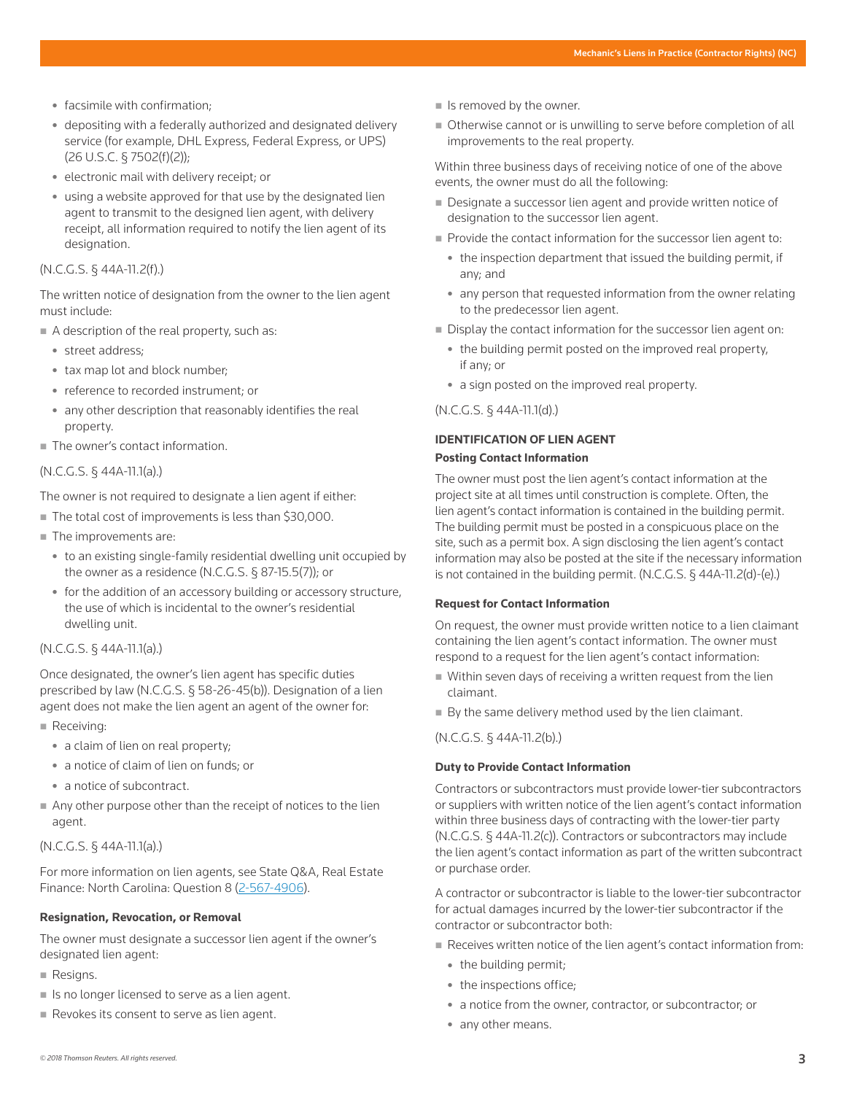- facsimile with confirmation;
- depositing with a federally authorized and designated delivery service (for example, DHL Express, Federal Express, or UPS) (26 U.S.C. § 7502(f)(2));
- electronic mail with delivery receipt; or
- $\bullet$  using a website approved for that use by the designated lien agent to transmit to the designed lien agent, with delivery receipt, all information required to notify the lien agent of its designation.

#### (N.C.G.S. § 44A-11.2(f).)

The written notice of designation from the owner to the lien agent must include:

- $\blacksquare$  A description of the real property, such as:
	- street address;
	- tax map lot and block number;
	- reference to recorded instrument; or
	- any other description that reasonably identifies the real property.
- The owner's contact information.

# (N.C.G.S. § 44A-11.1(a).)

The owner is not required to designate a lien agent if either:

- The total cost of improvements is less than \$30,000.
- The improvements are:
	- to an existing single-family residential dwelling unit occupied by the owner as a residence (N.C.G.S. § 87-15.5(7)); or
	- for the addition of an accessory building or accessory structure, the use of which is incidental to the owner's residential dwelling unit.

# (N.C.G.S. § 44A-11.1(a).)

Once designated, the owner's lien agent has specific duties prescribed by law (N.C.G.S. § 58-26-45(b)). Designation of a lien agent does not make the lien agent an agent of the owner for:

- Receiving:
	- a claim of lien on real property;
	- a notice of claim of lien on funds; or
	- a notice of subcontract.
- Any other purpose other than the receipt of notices to the lien agent.

#### (N.C.G.S. § 44A-11.1(a).)

For more information on lien agents, see State Q&A, Real Estate Finance: North Carolina: Question 8 (2-567-4906).

#### **Resignation, Revocation, or Removal**

The owner must designate a successor lien agent if the owner's designated lien agent:

- Resigns.
- In Is no longer licensed to serve as a lien agent.
- Revokes its consent to serve as lien agent.
- $\blacksquare$  Is removed by the owner.
- Otherwise cannot or is unwilling to serve before completion of all improvements to the real property.

Within three business days of receiving notice of one of the above events, the owner must do all the following:

- Designate a successor lien agent and provide written notice of designation to the successor lien agent.
- Provide the contact information for the successor lien agent to:
	- the inspection department that issued the building permit, if any; and
	- any person that requested information from the owner relating to the predecessor lien agent.
- Display the contact information for the successor lien agent on:
	- the building permit posted on the improved real property, if any; or
	- a sign posted on the improved real property.

(N.C.G.S. § 44A-11.1(d).)

# **IDENTIFICATION OF LIEN AGENT Posting Contact Information**

The owner must post the lien agent's contact information at the project site at all times until construction is complete. Often, the lien agent's contact information is contained in the building permit. The building permit must be posted in a conspicuous place on the site, such as a permit box. A sign disclosing the lien agent's contact information may also be posted at the site if the necessary information is not contained in the building permit. (N.C.G.S. § 44A-11.2(d)-(e).)

#### **Request for Contact Information**

On request, the owner must provide written notice to a lien claimant containing the lien agent's contact information. The owner must respond to a request for the lien agent's contact information:

- Within seven days of receiving a written request from the lien claimant.
- By the same delivery method used by the lien claimant.

(N.C.G.S. § 44A-11.2(b).)

# **Duty to Provide Contact Information**

Contractors or subcontractors must provide lower-tier subcontractors or suppliers with written notice of the lien agent's contact information within three business days of contracting with the lower-tier party (N.C.G.S. § 44A-11.2(c)). Contractors or subcontractors may include the lien agent's contact information as part of the written subcontract or purchase order.

A contractor or subcontractor is liable to the lower-tier subcontractor for actual damages incurred by the lower-tier subcontractor if the contractor or subcontractor both:

- Receives written notice of the lien agent's contact information from:
	- the building permit;
	- the inspections office;
	- a notice from the owner, contractor, or subcontractor; or
	- any other means.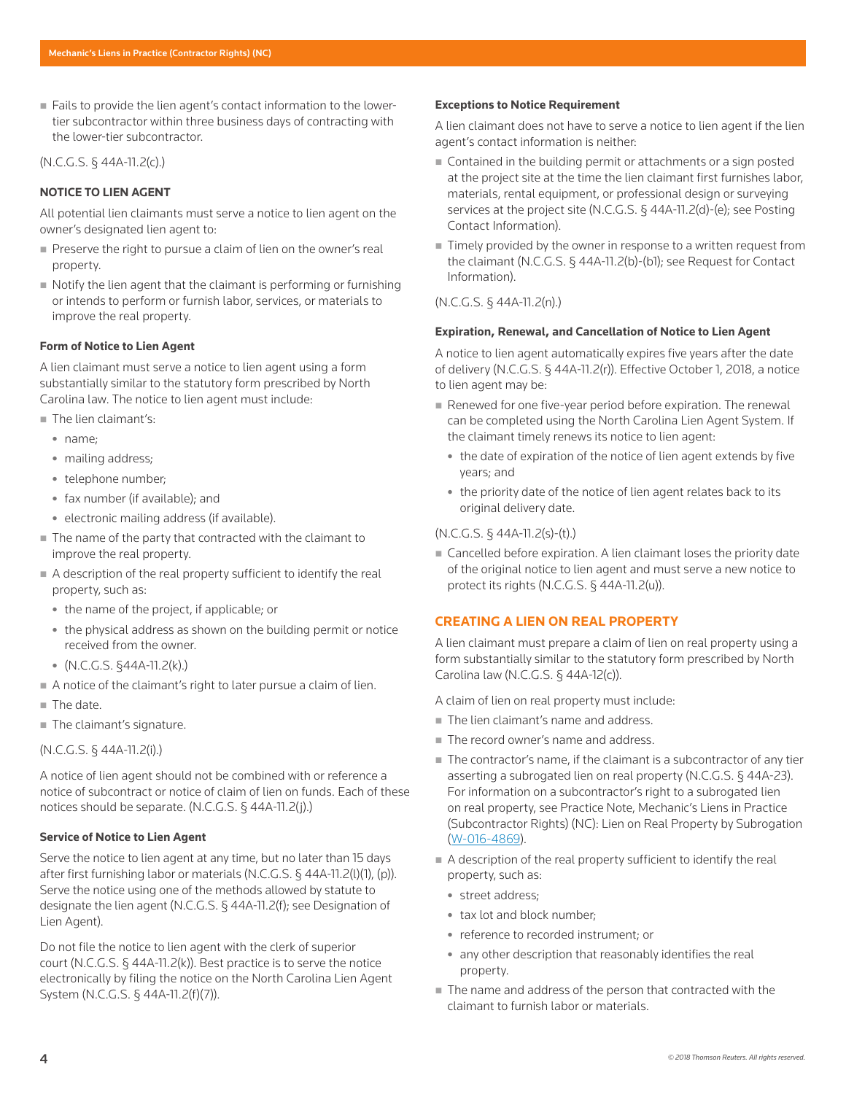Fails to provide the lien agent's contact information to the lowertier subcontractor within three business days of contracting with the lower-tier subcontractor.

# (N.C.G.S. § 44A-11.2(c).)

# **NOTICE TO LIEN AGENT**

All potential lien claimants must serve a notice to lien agent on the owner's designated lien agent to:

- Preserve the right to pursue a claim of lien on the owner's real property.
- Notify the lien agent that the claimant is performing or furnishing or intends to perform or furnish labor, services, or materials to improve the real property.

#### **Form of Notice to Lien Agent**

A lien claimant must serve a notice to lien agent using a form substantially similar to the statutory form prescribed by North Carolina law. The notice to lien agent must include:

- The lien claimant's:
	- name:
	- mailing address;
	- telephone number;
	- fax number (if available); and
	- electronic mailing address (if available).
- The name of the party that contracted with the claimant to improve the real property.
- A description of the real property sufficient to identify the real property, such as:
	- the name of the project, if applicable; or
	- the physical address as shown on the building permit or notice received from the owner.
	- $\bullet$  (N.C.G.S. §44A-11.2(k).)
- A notice of the claimant's right to later pursue a claim of lien.
- The date.
- The claimant's signature.

### (N.C.G.S. § 44A-11.2(i).)

A notice of lien agent should not be combined with or reference a notice of subcontract or notice of claim of lien on funds. Each of these notices should be separate. (N.C.G.S. § 44A-11.2(j).)

### **Service of Notice to Lien Agent**

Serve the notice to lien agent at any time, but no later than 15 days after first furnishing labor or materials (N.C.G.S. § 44A-11.2(l)(1), (p)). Serve the notice using one of the methods allowed by statute to designate the lien agent (N.C.G.S. § 44A-11.2(f); see Designation of Lien Agent).

Do not file the notice to lien agent with the clerk of superior court (N.C.G.S. § 44A-11.2(k)). Best practice is to serve the notice electronically by filing the notice on the North Carolina Lien Agent System (N.C.G.S. § 44A-11.2(f)(7)).

#### **Exceptions to Notice Requirement**

A lien claimant does not have to serve a notice to lien agent if the lien agent's contact information is neither:

- Contained in the building permit or attachments or a sign posted at the project site at the time the lien claimant first furnishes labor, materials, rental equipment, or professional design or surveying services at the project site (N.C.G.S. § 44A-11.2(d)-(e); see Posting Contact Information).
- Timely provided by the owner in response to a written request from the claimant (N.C.G.S. § 44A-11.2(b)-(b1); see Request for Contact Information).

# (N.C.G.S. § 44A-11.2(n).)

#### **Expiration, Renewal, and Cancellation of Notice to Lien Agent**

A notice to lien agent automatically expires five years after the date of delivery (N.C.G.S. § 44A-11.2(r)). Effective October 1, 2018, a notice to lien agent may be:

- Renewed for one five-year period before expiration. The renewal can be completed using the North Carolina Lien Agent System. If the claimant timely renews its notice to lien agent:
	- the date of expiration of the notice of lien agent extends by five years; and
	- the priority date of the notice of lien agent relates back to its original delivery date.

# (N.C.G.S. § 44A-11.2(s)-(t).)

Cancelled before expiration. A lien claimant loses the priority date of the original notice to lien agent and must serve a new notice to protect its rights (N.C.G.S. § 44A-11.2(u)).

### **CREATING A LIEN ON REAL PROPERTY**

A lien claimant must prepare a claim of lien on real property using a form substantially similar to the statutory form prescribed by North Carolina law (N.C.G.S. § 44A-12(c)).

A claim of lien on real property must include:

- The lien claimant's name and address.
- The record owner's name and address.
- The contractor's name, if the claimant is a subcontractor of any tier asserting a subrogated lien on real property (N.C.G.S. § 44A-23). For information on a subcontractor's right to a subrogated lien on real property, see Practice Note, Mechanic's Liens in Practice (Subcontractor Rights) (NC): Lien on Real Property by Subrogation (W-016-4869).
- A description of the real property sufficient to identify the real property, such as:
	- street address:
	- tax lot and block number:
	- reference to recorded instrument; or
	- any other description that reasonably identifies the real property.
- The name and address of the person that contracted with the claimant to furnish labor or materials.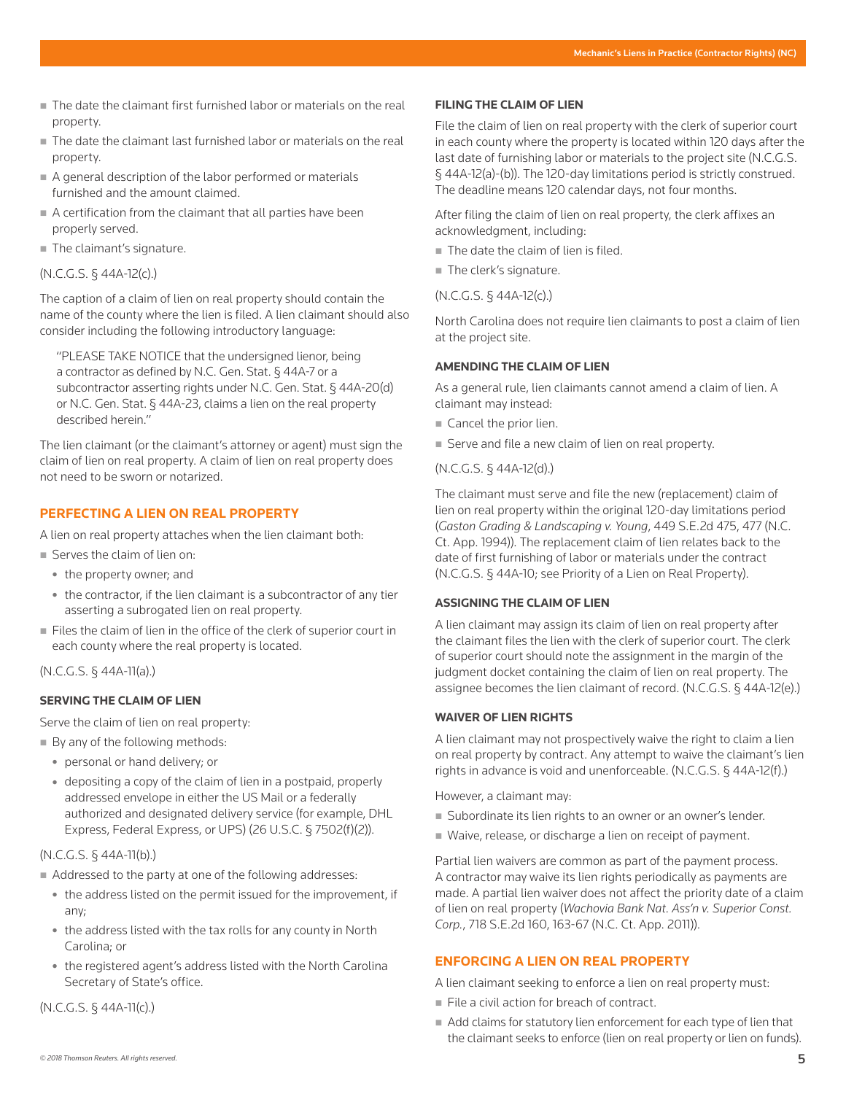- The date the claimant first furnished labor or materials on the real property.
- The date the claimant last furnished labor or materials on the real property.
- A general description of the labor performed or materials furnished and the amount claimed.
- A certification from the claimant that all parties have been properly served.
- The claimant's signature.

#### (N.C.G.S. § 44A-12(c).)

The caption of a claim of lien on real property should contain the name of the county where the lien is filed. A lien claimant should also consider including the following introductory language:

"PLEASE TAKE NOTICE that the undersigned lienor, being a contractor as defined by N.C. Gen. Stat. § 44A-7 or a subcontractor asserting rights under N.C. Gen. Stat. § 44A-20(d) or N.C. Gen. Stat. § 44A-23, claims a lien on the real property described herein."

The lien claimant (or the claimant's attorney or agent) must sign the claim of lien on real property. A claim of lien on real property does not need to be sworn or notarized.

# **PERFECTING A LIEN ON REAL PROPERTY**

A lien on real property attaches when the lien claimant both:

- Serves the claim of lien on:
- the property owner; and
- the contractor, if the lien claimant is a subcontractor of any tier asserting a subrogated lien on real property.
- Files the claim of lien in the office of the clerk of superior court in each county where the real property is located.

(N.C.G.S. § 44A-11(a).)

# **SERVING THE CLAIM OF LIEN**

Serve the claim of lien on real property:

- By any of the following methods:
	- personal or hand delivery; or
	- depositing a copy of the claim of lien in a postpaid, properly addressed envelope in either the US Mail or a federally authorized and designated delivery service (for example, DHL Express, Federal Express, or UPS) (26 U.S.C. § 7502(f)(2)).

# (N.C.G.S. § 44A-11(b).)

- Addressed to the party at one of the following addresses:
	- the address listed on the permit issued for the improvement, if any;
	- the address listed with the tax rolls for any county in North Carolina; or
	- the registered agent's address listed with the North Carolina Secretary of State's office.

### (N.C.G.S. § 44A-11(c).)

#### **FILING THE CLAIM OF LIEN**

File the claim of lien on real property with the clerk of superior court in each county where the property is located within 120 days after the last date of furnishing labor or materials to the project site (N.C.G.S. § 44A-12(a)-(b)). The 120-day limitations period is strictly construed. The deadline means 120 calendar days, not four months.

After filing the claim of lien on real property, the clerk affixes an acknowledgment, including:

- The date the claim of lien is filed.
- The clerk's signature.

#### (N.C.G.S. § 44A-12(c).)

North Carolina does not require lien claimants to post a claim of lien at the project site.

#### **AMENDING THE CLAIM OF LIEN**

As a general rule, lien claimants cannot amend a claim of lien. A claimant may instead:

- Cancel the prior lien.
- Serve and file a new claim of lien on real property.

#### (N.C.G.S. § 44A-12(d).)

The claimant must serve and file the new (replacement) claim of lien on real property within the original 120-day limitations period (*Gaston Grading & Landscaping v. Young*, 449 S.E.2d 475, 477 (N.C. Ct. App. 1994)). The replacement claim of lien relates back to the date of first furnishing of labor or materials under the contract (N.C.G.S. § 44A-10; see Priority of a Lien on Real Property).

#### **ASSIGNING THE CLAIM OF LIEN**

A lien claimant may assign its claim of lien on real property after the claimant files the lien with the clerk of superior court. The clerk of superior court should note the assignment in the margin of the judgment docket containing the claim of lien on real property. The assignee becomes the lien claimant of record. (N.C.G.S. § 44A-12(e).)

#### **WAIVER OF LIEN RIGHTS**

A lien claimant may not prospectively waive the right to claim a lien on real property by contract. Any attempt to waive the claimant's lien rights in advance is void and unenforceable. (N.C.G.S. § 44A-12(f).)

However, a claimant may:

- Subordinate its lien rights to an owner or an owner's lender.
- Waive, release, or discharge a lien on receipt of payment.

Partial lien waivers are common as part of the payment process. A contractor may waive its lien rights periodically as payments are made. A partial lien waiver does not affect the priority date of a claim of lien on real property (*Wachovia Bank Nat. Ass'n v. Superior Const. Corp.*, 718 S.E.2d 160, 163-67 (N.C. Ct. App. 2011)).

# **ENFORCING A LIEN ON REAL PROPERTY**

A lien claimant seeking to enforce a lien on real property must:

- File a civil action for breach of contract.
- Add claims for statutory lien enforcement for each type of lien that the claimant seeks to enforce (lien on real property or lien on funds).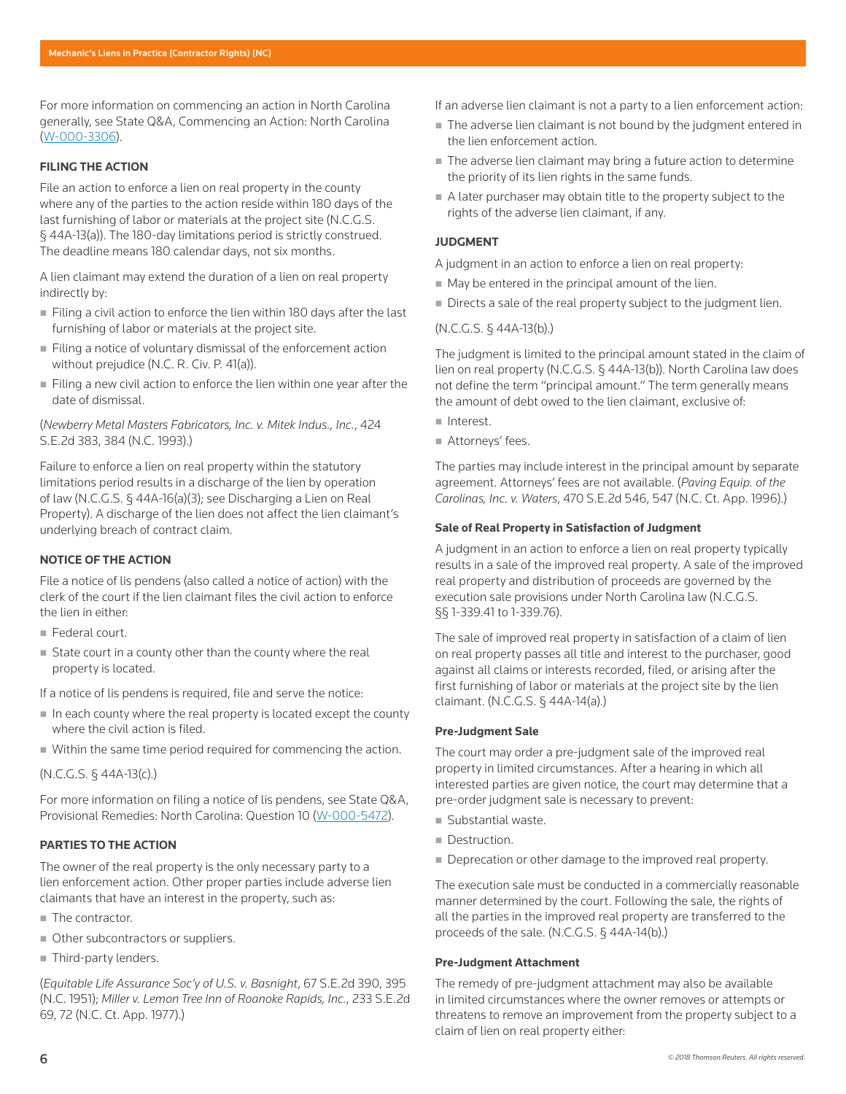For more information on commencing an action in North Carolina generally, see State Q&A, Commencing an Action: North Carolina (W-000-3306).

#### **FILING THE ACTION**

File an action to enforce a lien on real property in the county where any of the parties to the action reside within 180 days of the last furnishing of labor or materials at the project site (N.C.G.S. § 44A-13(a)). The 180-day limitations period is strictly construed. The deadline means 180 calendar days, not six months.

A lien claimant may extend the duration of a lien on real property indirectly by:

- Filing a civil action to enforce the lien within 180 days after the last furnishing of labor or materials at the project site.
- Filing a notice of voluntary dismissal of the enforcement action without prejudice (N.C. R. Civ. P. 41(a)).
- Filing a new civil action to enforce the lien within one year after the date of dismissal.

# (*Newberry Metal Masters Fabricators, Inc. v. Mitek Indus., Inc.*, 424 S.E.2d 383, 384 (N.C. 1993).)

Failure to enforce a lien on real property within the statutory limitations period results in a discharge of the lien by operation of law (N.C.G.S. § 44A-16(a)(3); see Discharging a Lien on Real Property). A discharge of the lien does not affect the lien claimant's underlying breach of contract claim.

### **NOTICE OF THE ACTION**

File a notice of lis pendens (also called a notice of action) with the clerk of the court if the lien claimant files the civil action to enforce the lien in either:

- Federal court.
- State court in a county other than the county where the real property is located.

If a notice of lis pendens is required, file and serve the notice:

- In each county where the real property is located except the county where the civil action is filed.
- Within the same time period required for commencing the action.

# (N.C.G.S. § 44A-13(c).)

For more information on filing a notice of lis pendens, see State Q&A, Provisional Remedies: North Carolina: Question 10 (W-000-5472).

### **PARTIES TO THE ACTION**

The owner of the real property is the only necessary party to a lien enforcement action. Other proper parties include adverse lien claimants that have an interest in the property, such as:

- The contractor.
- Other subcontractors or suppliers.
- Third-party lenders.

(*Equitable Life Assurance Soc'y of U.S. v. Basnight*, 67 S.E.2d 390, 395 (N.C. 1951); *Miller v. Lemon Tree Inn of Roanoke Rapids, Inc.*, 233 S.E.2d 69, 72 (N.C. Ct. App. 1977).)

- If an adverse lien claimant is not a party to a lien enforcement action:
- The adverse lien claimant is not bound by the judgment entered in the lien enforcement action.
- The adverse lien claimant may bring a future action to determine the priority of its lien rights in the same funds.
- A later purchaser may obtain title to the property subject to the rights of the adverse lien claimant, if any.

# **JUDGMENT**

A judgment in an action to enforce a lien on real property:

- May be entered in the principal amount of the lien.
- Directs a sale of the real property subject to the judgment lien.

### (N.C.G.S. § 44A-13(b).)

The judgment is limited to the principal amount stated in the claim of lien on real property (N.C.G.S. § 44A-13(b)). North Carolina law does not define the term "principal amount." The term generally means the amount of debt owed to the lien claimant, exclusive of:

- Interest.
- Attorneys' fees.

The parties may include interest in the principal amount by separate agreement. Attorneys' fees are not available. (*Paving Equip. of the Carolinas, Inc. v. Waters*, 470 S.E.2d 546, 547 (N.C. Ct. App. 1996).)

#### **Sale of Real Property in Satisfaction of Judgment**

A judgment in an action to enforce a lien on real property typically results in a sale of the improved real property. A sale of the improved real property and distribution of proceeds are governed by the execution sale provisions under North Carolina law (N.C.G.S. §§ 1-339.41 to 1-339.76).

The sale of improved real property in satisfaction of a claim of lien on real property passes all title and interest to the purchaser, good against all claims or interests recorded, filed, or arising after the first furnishing of labor or materials at the project site by the lien claimant. (N.C.G.S. § 44A-14(a).)

#### **Pre-Judgment Sale**

The court may order a pre-judgment sale of the improved real property in limited circumstances. After a hearing in which all interested parties are given notice, the court may determine that a pre-order judgment sale is necessary to prevent:

- Substantial waste.
- Destruction.
- Deprecation or other damage to the improved real property.

The execution sale must be conducted in a commercially reasonable manner determined by the court. Following the sale, the rights of all the parties in the improved real property are transferred to the proceeds of the sale. (N.C.G.S. § 44A-14(b).)

#### **Pre-Judgment Attachment**

The remedy of pre-judgment attachment may also be available in limited circumstances where the owner removes or attempts or threatens to remove an improvement from the property subject to a claim of lien on real property either: